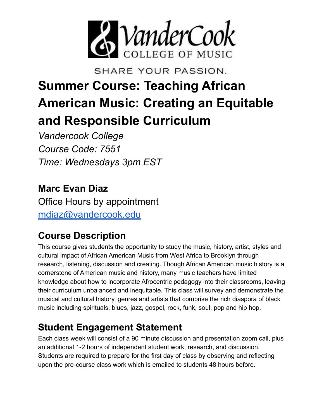

SHARE YOUR PASSION.

# **Summer Course: Teaching African American Music: Creating an Equitable and Responsible Curriculum**

*Vandercook College Course Code: 7551 Time: Wednesdays 3pm EST*

**Marc Evan Diaz** Office Hours by appointment [mdiaz@vandercook.edu](mailto:mdiaz@vandercook.edu)

# **Course Description**

This course gives students the opportunity to study the music, history, artist, styles and cultural impact of African American Music from West Africa to Brooklyn through research, listening, discussion and creating. Though African American music history is a cornerstone of American music and history, many music teachers have limited knowledge about how to incorporate Afrocentric pedagogy into their classrooms, leaving their curriculum unbalanced and inequitable. This class will survey and demonstrate the musical and cultural history, genres and artists that comprise the rich diaspora of black music including spirituals, blues, jazz, gospel, rock, funk, soul, pop and hip hop.

# **Student Engagement Statement**

Each class week will consist of a 90 minute discussion and presentation zoom call, plus an additional 1-2 hours of independent student work, research, and discussion. Students are required to prepare for the first day of class by observing and reflecting upon the pre-course class work which is emailed to students 48 hours before.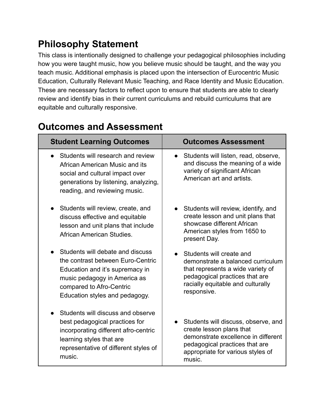# **Philosophy Statement**

This class is intentionally designed to challenge your pedagogical philosophies including how you were taught music, how you believe music should be taught, and the way you teach music. Additional emphasis is placed upon the intersection of Eurocentric Music Education, Culturally Relevant Music Teaching, and Race Identity and Music Education. These are necessary factors to reflect upon to ensure that students are able to clearly review and identify bias in their current curriculums and rebuild curriculums that are equitable and culturally responsive.

| <b>Student Learning Outcomes</b>                                                                                                                                                                       | <b>Outcomes Assessment</b>                                                                                                                                                               |
|--------------------------------------------------------------------------------------------------------------------------------------------------------------------------------------------------------|------------------------------------------------------------------------------------------------------------------------------------------------------------------------------------------|
| Students will research and review<br>African American Music and its<br>social and cultural impact over<br>generations by listening, analyzing,<br>reading, and reviewing music.                        | Students will listen, read, observe,<br>and discuss the meaning of a wide<br>variety of significant African<br>American art and artists.                                                 |
| Students will review, create, and<br>discuss effective and equitable<br>lesson and unit plans that include<br>African American Studies.                                                                | Students will review, identify, and<br>create lesson and unit plans that<br>showcase different African<br>American styles from 1650 to<br>present Day.                                   |
| Students will debate and discuss<br>the contrast between Euro-Centric<br>Education and it's supremacy in<br>music pedagogy in America as<br>compared to Afro-Centric<br>Education styles and pedagogy. | Students will create and<br>demonstrate a balanced curriculum<br>that represents a wide variety of<br>pedagogical practices that are<br>racially equitable and culturally<br>responsive. |
| Students will discuss and observe<br>best pedagogical practices for<br>incorporating different afro-centric<br>learning styles that are<br>representative of different styles of<br>music.             | Students will discuss, observe, and<br>create lesson plans that<br>demonstrate excellence in different<br>pedagogical practices that are<br>appropriate for various styles of<br>music.  |

### **Outcomes and Assessment**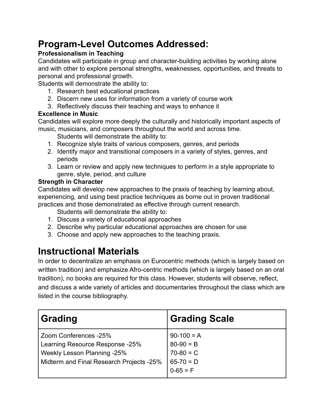# **Program-Level Outcomes Addressed:**

### **Professionalism in Teaching**

Candidates will participate in group and character-building activities by working alone and with other to explore personal strengths, weaknesses, opportunities, and threats to personal and professional growth.

Students will demonstrate the ability to:

- 1. Research best educational practices
- 2. Discern new uses for information from a variety of course work
- 3. Reflectively discuss their teaching and ways to enhance it

#### **Excellence in Music**

Candidates will explore more deeply the culturally and historically important aspects of music, musicians, and composers throughout the world and across time.

Students will demonstrate the ability to:

- 1. Recognize style traits of various composers, genres, and periods
- 2. Identify major and transitional composers in a variety of styles, genres, and periods
- 3. Learn or review and apply new techniques to perform in a style appropriate to genre, style, period, and culture

#### **Strength in Character**

Candidates will develop new approaches to the praxis of teaching by learning about, experiencing, and using best practice techniques as borne out in proven traditional practices and those demonstrated as effective through current research.

Students will demonstrate the ability to:

- 1. Discuss a variety of educational approaches
- 2. Describe why particular educational approaches are chosen for use
- 3. Choose and apply new approaches to the teaching praxis.

### **Instructional Materials**

In order to decentralize an emphasis on Eurocentric methods (which is largely based on written tradition) and emphasize Afro-centric methods (which is largely based on an oral tradition), no books are required for this class. However, students will observe, reflect, and discuss a wide variety of articles and documentaries throughout the class which are listed in the course bibliography.

| <b>Grading</b>                                                                                                                      | <b>Grading Scale</b>                                                    |
|-------------------------------------------------------------------------------------------------------------------------------------|-------------------------------------------------------------------------|
| Zoom Conferences -25%<br>Learning Resource Response -25%<br>Weekly Lesson Planning -25%<br>Midterm and Final Research Projects -25% | $90-100 = A$<br>$80-90 = B$<br>$70-80 = C$<br>$65-70 = D$<br>$0-65 = F$ |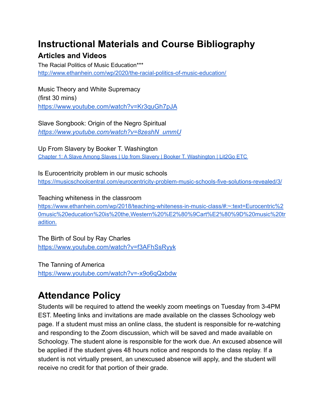### **Instructional Materials and Course Bibliography**

### **Articles and Videos**

The Racial Politics of Music Education\*\*\* <http://www.ethanhein.com/wp/2020/the-racial-politics-of-music-education/>

Music Theory and White Supremacy (first 30 mins) <https://www.youtube.com/watch?v=Kr3quGh7pJA>

Slave Songbook: Origin of the Negro Spiritual *[https://www.youtube.com/watch?v=8zeshN\\_ummU](https://www.youtube.com/watch?v=8zeshN_ummU)*

Up From Slavery by Booker T. Washington Chapter 1: A Slave Among Slaves | Up from Slavery | Booker T. [Washington](https://etc.usf.edu/lit2go/92/up-from-slavery/1571/chapter-1-a-slave-among-slaves/) | Lit2Go ETC

Is Eurocentricity problem in our music schools <https://musicschoolcentral.com/eurocentricity-problem-music-schools-five-solutions-revealed/3/>

Teaching whiteness in the classroom

[https://www.ethanhein.com/wp/2018/teaching-whiteness-in-music-class/#:~:text=Eurocentric%2](https://www.ethanhein.com/wp/2018/teaching-whiteness-in-music-class/#:~:text=Eurocentric%20music%20education%20is%20the,Western%20%E2%80%9Cart%E2%80%9D%20music%20tradition.) [0music%20education%20is%20the,Western%20%E2%80%9Cart%E2%80%9D%20music%20tr](https://www.ethanhein.com/wp/2018/teaching-whiteness-in-music-class/#:~:text=Eurocentric%20music%20education%20is%20the,Western%20%E2%80%9Cart%E2%80%9D%20music%20tradition.) [adition.](https://www.ethanhein.com/wp/2018/teaching-whiteness-in-music-class/#:~:text=Eurocentric%20music%20education%20is%20the,Western%20%E2%80%9Cart%E2%80%9D%20music%20tradition.)

The Birth of Soul by Ray Charles <https://www.youtube.com/watch?v=f3AFhSsRyyk>

The Tanning of America <https://www.youtube.com/watch?v=-x9o6qQxbdw>

# **Attendance Policy**

Students will be required to attend the weekly zoom meetings on Tuesday from 3-4PM EST. Meeting links and invitations are made available on the classes Schoology web page. If a student must miss an online class, the student is responsible for re-watching and responding to the Zoom discussion, which will be saved and made available on Schoology. The student alone is responsible for the work due. An excused absence will be applied if the student gives 48 hours notice and responds to the class replay. If a student is not virtually present, an unexcused absence will apply, and the student will receive no credit for that portion of their grade.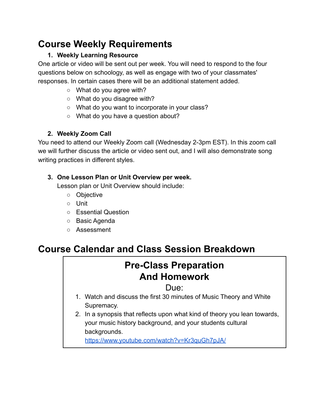# **Course Weekly Requirements**

### **1. Weekly Learning Resource**

One article or video will be sent out per week. You will need to respond to the four questions below on schoology, as well as engage with two of your classmates' responses. In certain cases there will be an additional statement added.

- What do you agree with?
- What do you disagree with?
- What do you want to incorporate in your class?
- What do you have a question about?

### **2. Weekly Zoom Call**

You need to attend our Weekly Zoom call (Wednesday 2-3pm EST). In this zoom call we will further discuss the article or video sent out, and I will also demonstrate song writing practices in different styles.

### **3. One Lesson Plan or Unit Overview per week.**

Lesson plan or Unit Overview should include:

- Objective
- Unit
- Essential Question
- Basic Agenda
- Assessment

# **Course Calendar and Class Session Breakdown**

# **Pre-Class Preparation And Homework**

### Due:

- 1. Watch and discuss the first 30 minutes of Music Theory and White Supremacy.
- 2. In a synopsis that reflects upon what kind of theory you lean towards, your music history background, and your students cultural backgrounds.

<https://www.youtube.com/watch?v=Kr3quGh7pJA>[/](http://www.ethanhein.com/wp/2020/the-racial-politics-of-music-education/)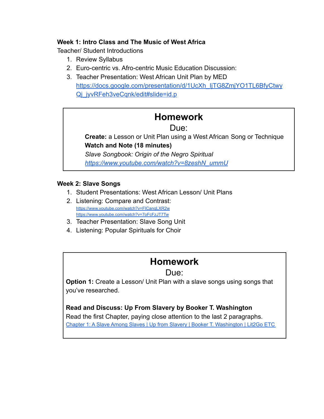#### **Week 1: Intro Class and The Music of West Africa**

Teacher/ Student Introductions

- 1. Review Syllabus
- 2. Euro-centric vs. Afro-centric Music Education Discussion:
- 3. Teacher Presentation: West African Unit Plan by MED [https://docs.google.com/presentation/d/1UcXh\\_IjTG8ZmjYO1TL6BfyCtwy](https://docs.google.com/presentation/d/1UcXh_IjTG8ZmjYO1TL6BfyCtwyQj_jyvRFeh3veCqnk/edit#slide=id.p) Qi\_jyvRFeh3veCqnk/edit#slide=id.p

### **Homework**

### Due:

**Create:** a Lesson or Unit Plan using a West African Song or Technique **Watch and Note (18 minutes)**

*Slave Songbook: Origin of the Negro Spiritual [https://www.youtube.com/watch?v=8zeshN\\_ummU](https://www.youtube.com/watch?v=8zeshN_ummU)*

#### **Week 2: Slave Songs**

- 1. Student Presentations: West African Lesson/ Unit Plans
- 2. Listening: Compare and Contrast: <https://www.youtube.com/watch?v=FICanqLXR2w> [https://www.youtube.com/watch?v=7oFcFzJT7Tw](https://www.youtube.com/watch?v=FICanqLXR2w)
- 3. Teacher Presentation: Slave Song Unit
- 4. Listening: Popular Spirituals for Choir

### **Homework**

### Due:

**Option 1:** Create a Lesson/ Unit Plan with a slave songs using songs that you've researched.

**Read and Discuss: Up From Slavery by Booker T. Washington** Read the first Chapter, paying close attention to the last 2 paragraphs. Chapter 1: A Slave Among Slaves | Up from Slavery | Booker T. [Washington](https://etc.usf.edu/lit2go/92/up-from-slavery/1571/chapter-1-a-slave-among-slaves/) | Lit2Go ETC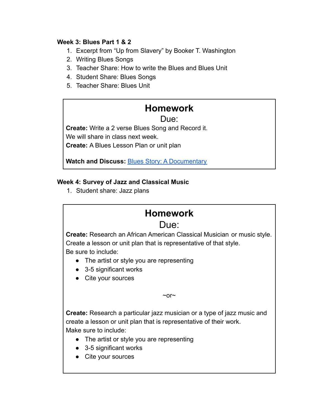#### **Week 3: Blues Part 1 & 2**

- 1. Excerpt from "Up from Slavery" by Booker T. Washington
- 2. Writing Blues Songs
- 3. Teacher Share: How to write the Blues and Blues Unit
- 4. Student Share: Blues Songs
- 5. Teacher Share: Blues Unit

### **Homework**

#### Due:

**Create:** Write a 2 verse Blues Song and Record it. We will share in class next week. **Create:** A Blues Lesson Plan or unit plan

**Watch and Discuss:** [Blues Story: A Documentary](https://www.youtube.com/watch?reload=9&v=5qq_qnLHf74)

#### **Week 4: Survey of Jazz and Classical Music**

1. Student share: Jazz plans

### **Homework**

### Due:

**Create:** Research an African American Classical Musician or music style. Create a lesson or unit plan that is representative of that style. Be sure to include:

- The artist or style you are representing
- 3-5 significant works
- Cite your sources

 $~\sim$ or $~\sim$ 

**Create:** Research a particular jazz musician or a type of jazz music and create a lesson or unit plan that is representative of their work. Make sure to include:

- The artist or style you are representing
- 3-5 significant works
- Cite your sources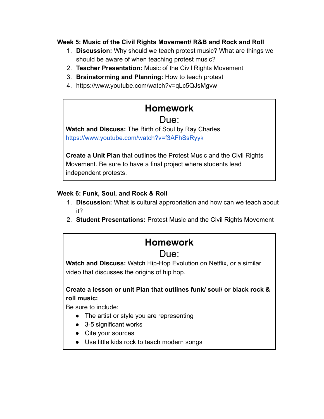#### **Week 5: Music of the Civil Rights Movement/ R&B and Rock and Roll**

- 1. **Discussion:** Why should we teach protest music? What are things we should be aware of when teaching protest music?
- 2. **Teacher Presentation:** Music of the Civil Rights Movement
- 3. **Brainstorming and Planning:** How to teach protest
- 4. https://www.youtube.com/watch?v=qLc5QJsMgvw

# **Homework**

### Due:

**Watch and Discuss:** The Birth of Soul by Ray Charles <https://www.youtube.com/watch?v=f3AFhSsRyyk>

**Create a Unit Plan** that outlines the Protest Music and the Civil Rights Movement. Be sure to have a final project where students lead independent protests.

#### **Week 6: Funk, Soul, and Rock & Roll**

- 1. **Discussion:** What is cultural appropriation and how can we teach about it?
- 2. **Student Presentations:** Protest Music and the Civil Rights Movement

### **Homework**

### Due:

**Watch and Discuss:** Watch Hip-Hop Evolution on Netflix, or a similar video that discusses the origins of hip hop.

### **Create a lesson or unit Plan that outlines funk/ soul/ or black rock & roll music:**

Be sure to include:

- The artist or style you are representing
- 3-5 significant works
- Cite your sources
- Use little kids rock to teach modern songs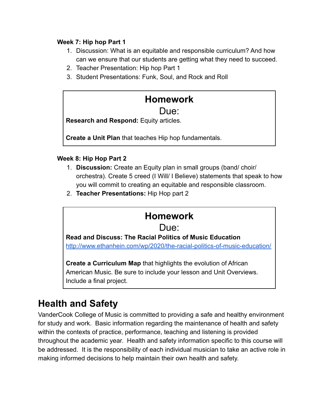#### **Week 7: Hip hop Part 1**

- 1. Discussion: What is an equitable and responsible curriculum? And how can we ensure that our students are getting what they need to succeed.
- 2. Teacher Presentation: Hip hop Part 1
- 3. Student Presentations: Funk, Soul, and Rock and Roll

## **Homework**

### Due:

**Research and Respond:** Equity articles.

**Create a Unit Plan** that teaches Hip hop fundamentals.

#### **Week 8: Hip Hop Part 2**

- 1. **Discussion:** Create an Equity plan in small groups (band/ choir/ orchestra). Create 5 creed (I Will/ I Believe) statements that speak to how you will commit to creating an equitable and responsible classroom.
- 2. **Teacher Presentations:** Hip Hop part 2

### **Homework**

### Due:

**Read and Discuss: The Racial Politics of Music Education** <http://www.ethanhein.com/wp/2020/the-racial-politics-of-music-education/>

**Create a Curriculum Map** that highlights the evolution of African American Music. Be sure to include your lesson and Unit Overviews. Include a final project.

### **Health and Safety**

VanderCook College of Music is committed to providing a safe and healthy environment for study and work. Basic information regarding the maintenance of health and safety within the contexts of practice, performance, teaching and listening is provided throughout the academic year. Health and safety information specific to this course will be addressed. It is the responsibility of each individual musician to take an active role in making informed decisions to help maintain their own health and safety.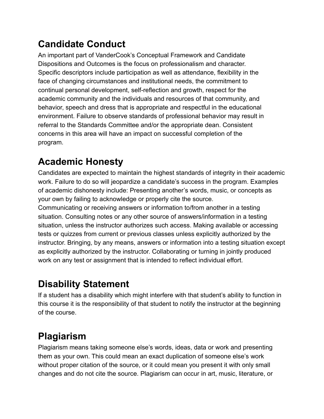# **Candidate Conduct**

An important part of VanderCook's Conceptual Framework and Candidate Dispositions and Outcomes is the focus on professionalism and character. Specific descriptors include participation as well as attendance, flexibility in the face of changing circumstances and institutional needs, the commitment to continual personal development, self-reflection and growth, respect for the academic community and the individuals and resources of that community, and behavior, speech and dress that is appropriate and respectful in the educational environment. Failure to observe standards of professional behavior may result in referral to the Standards Committee and/or the appropriate dean. Consistent concerns in this area will have an impact on successful completion of the program.

# **Academic Honesty**

Candidates are expected to maintain the highest standards of integrity in their academic work. Failure to do so will jeopardize a candidate's success in the program. Examples of academic dishonesty include: Presenting another's words, music, or concepts as your own by failing to acknowledge or properly cite the source.

Communicating or receiving answers or information to/from another in a testing situation. Consulting notes or any other source of answers/information in a testing situation, unless the instructor authorizes such access. Making available or accessing tests or quizzes from current or previous classes unless explicitly authorized by the instructor. Bringing, by any means, answers or information into a testing situation except as explicitly authorized by the instructor. Collaborating or turning in jointly produced work on any test or assignment that is intended to reflect individual effort.

# **Disability Statement**

If a student has a disability which might interfere with that student's ability to function in this course it is the responsibility of that student to notify the instructor at the beginning of the course.

# **Plagiarism**

Plagiarism means taking someone else's words, ideas, data or work and presenting them as your own. This could mean an exact duplication of someone else's work without proper citation of the source, or it could mean you present it with only small changes and do not cite the source. Plagiarism can occur in art, music, literature, or